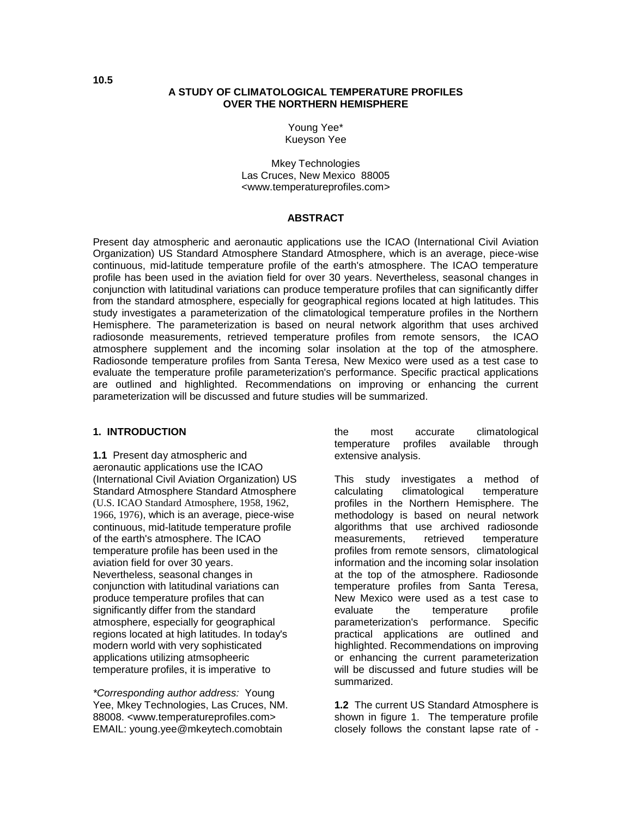#### **A STUDY OF CLIMATOLOGICAL TEMPERATURE PROFILES OVER THE NORTHERN HEMISPHERE**

Young Yee\* Kueyson Yee

Mkey Technologies Las Cruces, New Mexico 88005 <www.temperatureprofiles.com>

#### **ABSTRACT**

Present day atmospheric and aeronautic applications use the ICAO (International Civil Aviation Organization) US Standard Atmosphere Standard Atmosphere, which is an average, piece-wise continuous, mid-latitude temperature profile of the earth's atmosphere. The ICAO temperature profile has been used in the aviation field for over 30 years. Nevertheless, seasonal changes in conjunction with latitudinal variations can produce temperature profiles that can significantly differ from the standard atmosphere, especially for geographical regions located at high latitudes. This study investigates a parameterization of the climatological temperature profiles in the Northern Hemisphere. The parameterization is based on neural network algorithm that uses archived radiosonde measurements, retrieved temperature profiles from remote sensors, the ICAO atmosphere supplement and the incoming solar insolation at the top of the atmosphere. Radiosonde temperature profiles from Santa Teresa, New Mexico were used as a test case to evaluate the temperature profile parameterization's performance. Specific practical applications are outlined and highlighted. Recommendations on improving or enhancing the current parameterization will be discussed and future studies will be summarized.

#### **1. INTRODUCTION**

**1.1** Present day atmospheric and aeronautic applications use the ICAO (International Civil Aviation Organization) US Standard Atmosphere Standard Atmosphere (U.S. ICAO Standard Atmosphere, 1958, 1962, 1966, 1976), which is an average, piece-wise continuous, mid-latitude temperature profile of the earth's atmosphere. The ICAO temperature profile has been used in the aviation field for over 30 years. Nevertheless, seasonal changes in conjunction with latitudinal variations can produce temperature profiles that can significantly differ from the standard atmosphere, especially for geographical regions located at high latitudes. In today's modern world with very sophisticated applications utilizing atmsopheeric temperature profiles, it is imperative to

*\*Corresponding author address:* Young Yee, Mkey Technologies, Las Cruces, NM. 88008. <www.temperatureprofiles.com> EMAIL: young.yee@mkeytech.comobtain

the most accurate climatological temperature profiles available through extensive analysis.

This study investigates a method of calculating climatological temperature profiles in the Northern Hemisphere. The methodology is based on neural network algorithms that use archived radiosonde measurements, retrieved temperature profiles from remote sensors, climatological information and the incoming solar insolation at the top of the atmosphere. Radiosonde temperature profiles from Santa Teresa, New Mexico were used as a test case to evaluate the temperature profile parameterization's performance. Specific practical applications are outlined and highlighted. Recommendations on improving or enhancing the current parameterization will be discussed and future studies will be summarized.

**1.2** The current US Standard Atmosphere is shown in figure 1. The temperature profile closely follows the constant lapse rate of -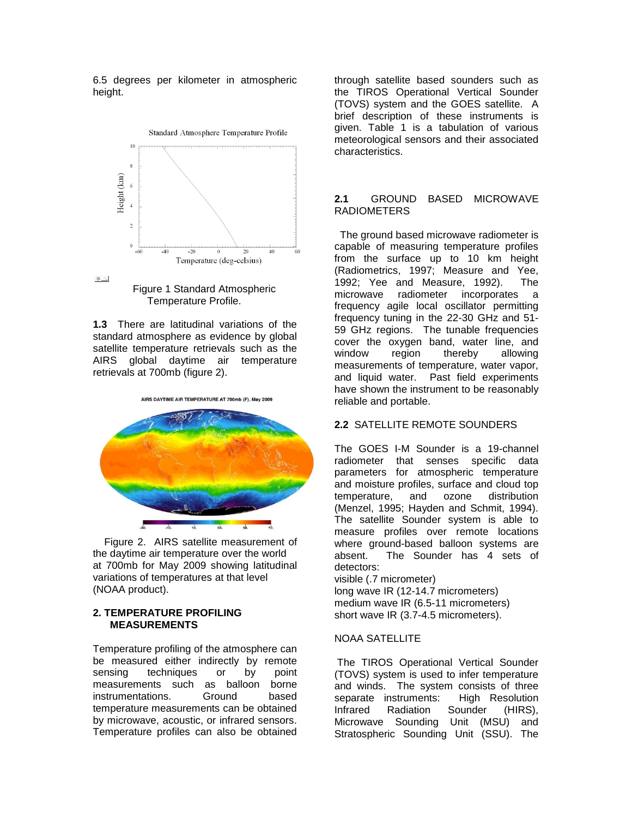6.5 degrees per kilometer in atmospheric height.





**1.3** There are latitudinal variations of the standard atmosphere as evidence by global satellite temperature retrievals such as the AIRS global daytime air temperature retrievals at 700mb (figure 2).



 Figure 2. AIRS satellite measurement of the daytime air temperature over the world at 700mb for May 2009 showing latitudinal variations of temperatures at that level (NOAA product).

#### **2. TEMPERATURE PROFILING MEASUREMENTS**

Temperature profiling of the atmosphere can be measured either indirectly by remote sensing techniques or by point measurements such as balloon borne instrumentations. Ground based temperature measurements can be obtained by microwave, acoustic, or infrared sensors. Temperature profiles can also be obtained

through satellite based sounders such as the TIROS Operational Vertical Sounder (TOVS) system and the GOES satellite. A brief description of these instruments is given. Table 1 is a tabulation of various meteorological sensors and their associated characteristics.

### **2.1** GROUND BASED MICROWAVE RADIOMETERS

 The ground based microwave radiometer is capable of measuring temperature profiles from the surface up to 10 km height (Radiometrics, 1997; Measure and Yee, 1992; Yee and Measure, 1992). The microwave radiometer incorporates a frequency agile local oscillator permitting frequency tuning in the 22-30 GHz and 51- 59 GHz regions. The tunable frequencies cover the oxygen band, water line, and window region thereby allowing measurements of temperature, water vapor, and liquid water. Past field experiments have shown the instrument to be reasonably reliable and portable.

#### **2.2** SATELLITE REMOTE SOUNDERS

The GOES I-M Sounder is a 19-channel radiometer that senses specific data parameters for atmospheric temperature and moisture profiles, surface and cloud top temperature, and ozone distribution (Menzel, 1995; Hayden and Schmit, 1994). The satellite Sounder system is able to measure profiles over remote locations where ground-based balloon systems are absent. The Sounder has 4 sets of detectors:

visible (.7 micrometer)

long wave IR (12-14.7 micrometers) medium wave IR (6.5-11 micrometers) short wave IR (3.7-4.5 micrometers).

### NOAA SATELLITE

The TIROS Operational Vertical Sounder (TOVS) system is used to infer temperature and winds. The system consists of three separate instruments: High Resolution Infrared Radiation Sounder (HIRS), Microwave Sounding Unit (MSU) and Stratospheric Sounding Unit (SSU). The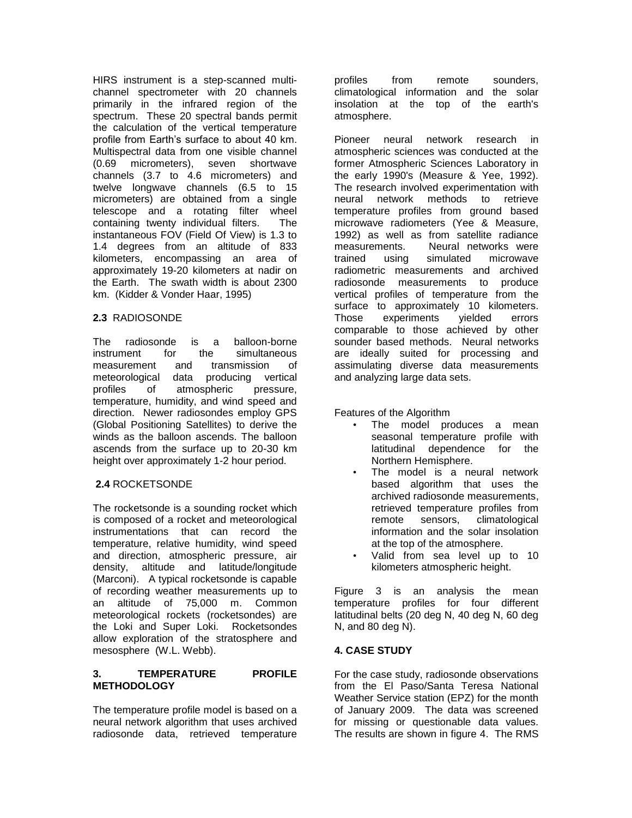HIRS instrument is a step-scanned multichannel spectrometer with 20 channels primarily in the infrared region of the spectrum. These 20 spectral bands permit the calculation of the vertical temperature profile from Earth's surface to about 40 km. Multispectral data from one visible channel (0.69 micrometers), seven shortwave channels (3.7 to 4.6 micrometers) and twelve longwave channels (6.5 to 15 micrometers) are obtained from a single telescope and a rotating filter wheel containing twenty individual filters. The instantaneous FOV (Field Of View) is 1.3 to 1.4 degrees from an altitude of 833 kilometers, encompassing an area of approximately 19-20 kilometers at nadir on the Earth. The swath width is about 2300 km. (Kidder & Vonder Haar, 1995)

### **2.3** RADIOSONDE

The radiosonde is a balloon-borne instrument for the simultaneous measurement and transmission of meteorological data producing vertical profiles of atmospheric pressure, temperature, humidity, and wind speed and direction. Newer radiosondes employ GPS (Global Positioning Satellites) to derive the winds as the balloon ascends. The balloon ascends from the surface up to 20-30 km height over approximately 1-2 hour period.

### **2.4** ROCKETSONDE

The rocketsonde is a [sounding rocket](http://en.wikipedia.org/wiki/Sounding_rocket) which is composed of a rocket and meteorological instrumentations that can record the temperature, relative humidity, wind speed and direction, atmospheric pressure, air density, altitude and latitude/longitude (Marconi). A typical rocketsonde is capable of recording weather measurements up to an altitude of 75,000 m. Common meteorological rockets (rocketsondes) are the [Loki](http://en.wikipedia.org/wiki/Loki_%28rocket%29) and [Super Loki.](http://en.wikipedia.org/wiki/Loki_%28rocket%29) Rocketsondes allow exploration of the stratosphere and mesosphere (W.L. Webb).

### **3. TEMPERATURE PROFILE METHODOLOGY**

The temperature profile model is based on a neural network algorithm that uses archived radiosonde data, retrieved temperature

profiles from remote sounders, climatological information and the solar insolation at the top of the earth's atmosphere.

Pioneer neural network research in atmospheric sciences was conducted at the former Atmospheric Sciences Laboratory in the early 1990's (Measure & Yee, 1992). The research involved experimentation with neural network methods to retrieve temperature profiles from ground based microwave radiometers (Yee & Measure, 1992) as well as from satellite radiance measurements. Neural networks were trained using simulated microwave radiometric measurements and archived radiosonde measurements to produce vertical profiles of temperature from the surface to approximately 10 kilometers. Those experiments yielded errors comparable to those achieved by other sounder based methods. Neural networks are ideally suited for processing and assimulating diverse data measurements and analyzing large data sets.

Features of the Algorithm

- The model produces a mean seasonal temperature profile with latitudinal dependence for the Northern Hemisphere.
- The model is a neural network based algorithm that uses the archived radiosonde measurements, retrieved temperature profiles from remote sensors, climatological information and the solar insolation at the top of the atmosphere.
- Valid from sea level up to 10 kilometers atmospheric height.

Figure 3 is an analysis the mean temperature profiles for four different latitudinal belts (20 deg N, 40 deg N, 60 deg N, and 80 deg N).

# **4. CASE STUDY**

For the case study, radiosonde observations from the El Paso/Santa Teresa National Weather Service station (EPZ) for the month of January 2009. The data was screened for missing or questionable data values. The results are shown in figure 4. The RMS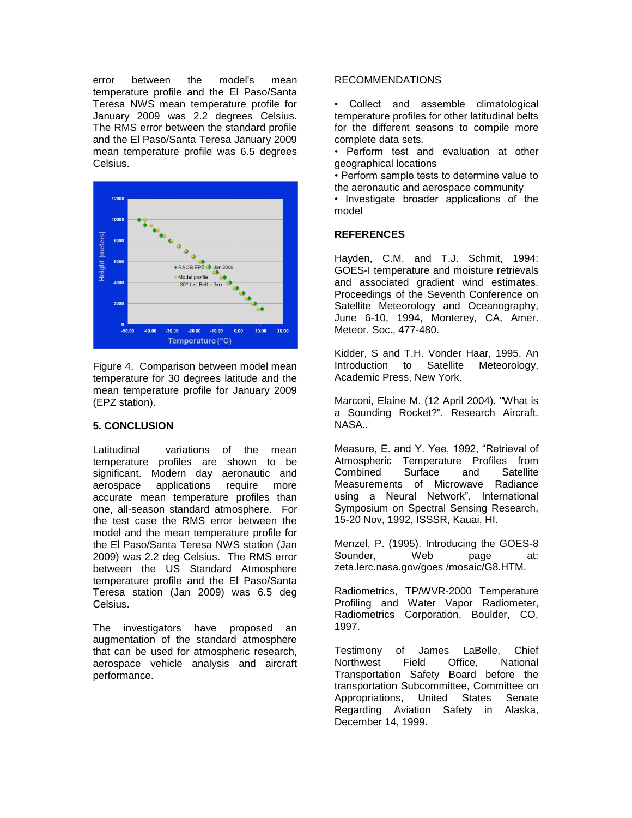error between the model's mean temperature profile and the El Paso/Santa Teresa NWS mean temperature profile for January 2009 was 2.2 degrees Celsius. The RMS error between the standard profile and the El Paso/Santa Teresa January 2009 mean temperature profile was 6.5 degrees Celsius.



Figure 4. Comparison between model mean temperature for 30 degrees latitude and the mean temperature profile for January 2009 (EPZ station).

#### **5. CONCLUSION**

Latitudinal variations of the mean temperature profiles are shown to be significant. Modern day aeronautic and aerospace applications require more accurate mean temperature profiles than one, all-season standard atmosphere. For the test case the RMS error between the model and the mean temperature profile for the El Paso/Santa Teresa NWS station (Jan 2009) was 2.2 deg Celsius. The RMS error between the US Standard Atmosphere temperature profile and the El Paso/Santa Teresa station (Jan 2009) was 6.5 deg Celsius.

The investigators have proposed an augmentation of the standard atmosphere that can be used for atmospheric research, aerospace vehicle analysis and aircraft performance.

# RECOMMENDATIONS

• Collect and assemble climatological temperature profiles for other latitudinal belts for the different seasons to compile more complete data sets.

• Perform test and evaluation at other geographical locations

• Perform sample tests to determine value to the aeronautic and aerospace community

• Investigate broader applications of the model

#### **REFERENCES**

Hayden, C.M. and T.J. Schmit, 1994: GOES-I temperature and moisture retrievals and associated gradient wind estimates. Proceedings of the Seventh Conference on Satellite Meteorology and Oceanography, June 6-10, 1994, Monterey, CA, Amer. Meteor. Soc., 477-480.

Kidder, S and T.H. Vonder Haar, 1995, An Introduction to Satellite Meteorology, Academic Press, New York.

Marconi, Elaine M. (12 April 2004). "What is a Sounding Rocket?". Research Aircraft. NASA..

Measure, E. and Y. Yee, 1992, "Retrieval of Atmospheric Temperature Profiles from Combined Surface and Satellite Measurements of Microwave Radiance using a Neural Network", International Symposium on Spectral Sensing Research, 15-20 Nov, 1992, ISSSR, Kauai, HI.

Menzel, P. (1995). Introducing the GOES-8 Sounder, Web page at: zeta.lerc.nasa.gov/goes /mosaic/G8.HTM.

Radiometrics, TP/WVR-2000 Temperature Profiling and Water Vapor Radiometer, Radiometrics Corporation, Boulder, CO, 1997.

Testimony of James LaBelle, Chief Northwest Field Office, National Transportation Safety Board before the transportation Subcommittee, Committee on Appropriations, United States Senate Regarding Aviation Safety in Alaska, December 14, 1999.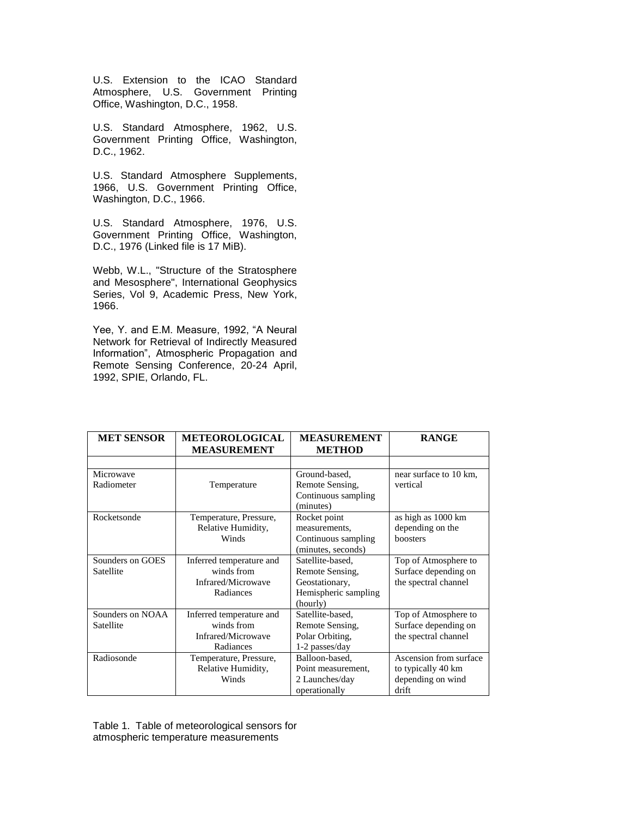U.S. Extension to the ICAO Standard Atmosphere, U.S. Government Printing Office, Washington, D.C., 1958.

U.S. Standard Atmosphere, 1962, U.S. Government Printing Office, Washington, D.C., 1962.

U.S. Standard Atmosphere Supplements, 1966, U.S. Government Printing Office, Washington, D.C., 1966.

U.S. Standard Atmosphere, 1976, U.S. Government Printing Office, Washington, D.C., 1976 (Linked file is 17 MiB).

Webb, W.L., "Structure of the Stratosphere and Mesosphere", International Geophysics Series, Vol 9, Academic Press, New York, 1966.

Yee, Y. and E.M. Measure, 1992, "A Neural Network for Retrieval of Indirectly Measured Information", Atmospheric Propagation and Remote Sensing Conference, 20-24 April, 1992, SPIE, Orlando, FL.

| <b>MET SENSOR</b> | <b>METEOROLOGICAL</b>    | <b>MEASUREMENT</b>   | <b>RANGE</b>           |
|-------------------|--------------------------|----------------------|------------------------|
|                   | <b>MEASUREMENT</b>       | <b>METHOD</b>        |                        |
|                   |                          |                      |                        |
| Microwave         |                          | Ground-based,        | near surface to 10 km. |
| Radiometer        | Temperature              | Remote Sensing,      | vertical               |
|                   |                          | Continuous sampling  |                        |
|                   |                          | (minutes)            |                        |
| Rocketsonde       | Temperature, Pressure,   | Rocket point         | as high as 1000 km     |
|                   | Relative Humidity,       | measurements,        | depending on the       |
|                   | Winds                    | Continuous sampling  | boosters               |
|                   |                          | (minutes, seconds)   |                        |
| Sounders on GOES  | Inferred temperature and | Satellite-based.     | Top of Atmosphere to   |
| Satellite         | winds from               | Remote Sensing,      | Surface depending on   |
|                   | Infrared/Microwave       | Geostationary,       | the spectral channel   |
|                   | Radiances                | Hemispheric sampling |                        |
|                   |                          | (hourly)             |                        |
| Sounders on NOAA  | Inferred temperature and | Satellite-based.     | Top of Atmosphere to   |
| Satellite         | winds from               | Remote Sensing,      | Surface depending on   |
|                   | Infrared/Microwave       | Polar Orbiting,      | the spectral channel   |
|                   | Radiances                | 1-2 passes/day       |                        |
| Radiosonde        | Temperature, Pressure,   | Balloon-based,       | Ascension from surface |
|                   | Relative Humidity,       | Point measurement,   | to typically 40 km     |
|                   | Winds                    | 2 Launches/day       | depending on wind      |
|                   |                          | operationally        | drift                  |

Table 1. Table of meteorological sensors for atmospheric temperature measurements